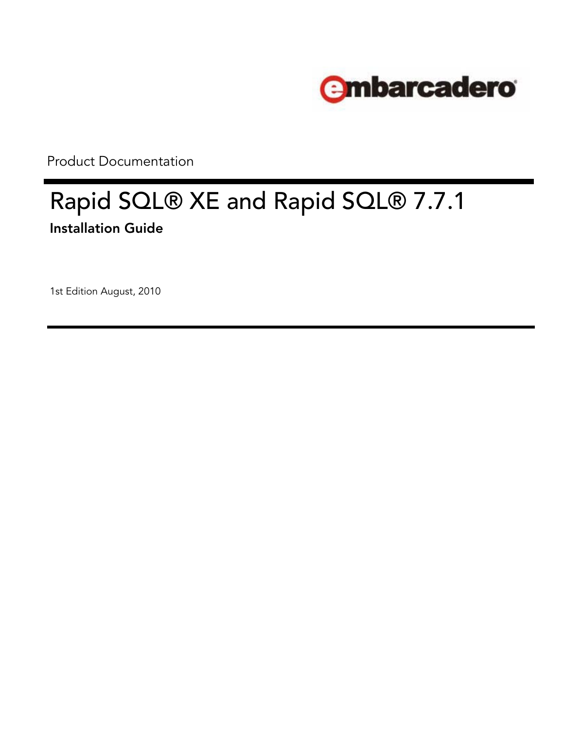

Product Documentation

# Rapid SQL® XE and Rapid SQL® 7.7.1 Installation Guide

1st Edition August, 2010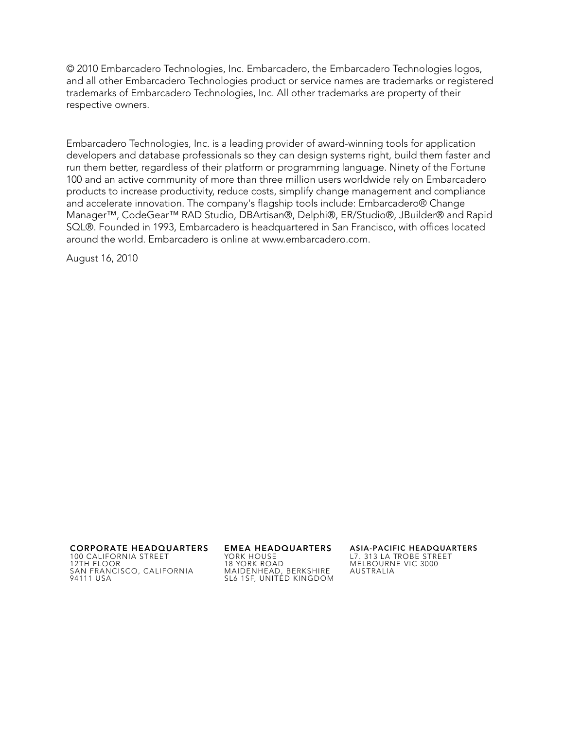© 2010 Embarcadero Technologies, Inc. Embarcadero, the Embarcadero Technologies logos, and all other Embarcadero Technologies product or service names are trademarks or registered trademarks of Embarcadero Technologies, Inc. All other trademarks are property of their respective owners.

Embarcadero Technologies, Inc. is a leading provider of award-winning tools for application developers and database professionals so they can design systems right, build them faster and run them better, regardless of their platform or programming language. Ninety of the Fortune 100 and an active community of more than three million users worldwide rely on Embarcadero products to increase productivity, reduce costs, simplify change management and compliance and accelerate innovation. The company's flagship tools include: Embarcadero® Change Manager™, CodeGear™ RAD Studio, DBArtisan®, Delphi®, ER/Studio®, JBuilder® and Rapid SQL®. Founded in 1993, Embarcadero is headquartered in San Francisco, with offices located around the world. Embarcadero is online at www.embarcadero.com.

August 16, 2010

CORPORATE HEADQUARTERS EMEA HEADQUARTERS ASIA-PACIFIC HEADQUARTERS 100 CALIFORNIA STREET 12TH FLOOR SAN FRANCISCO, CALIFORNIA 94111 USA

YORK HOUSE 18 YORK ROAD MAIDENHEAD, BERKSHIRE SL6 1SF, UNITED KINGDOM

L7. 313 LA TROBE STREET MELBOURNE VIC 3000 AUSTRALIA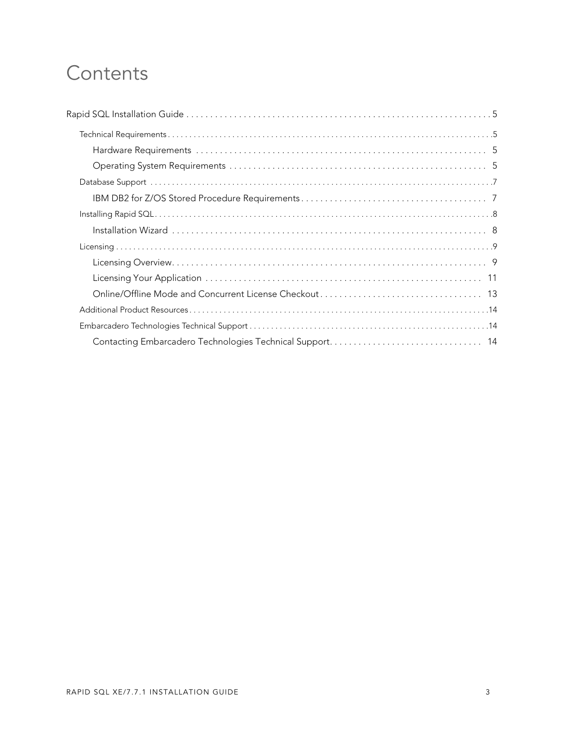# **Contents**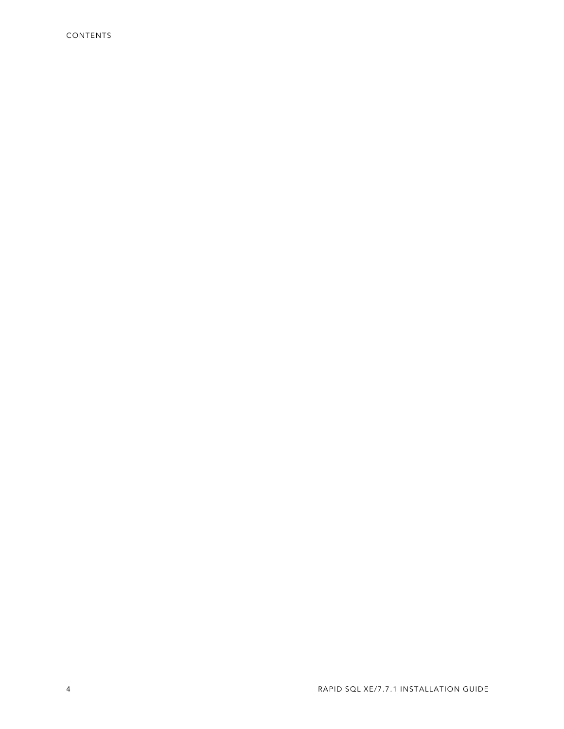CONTENTS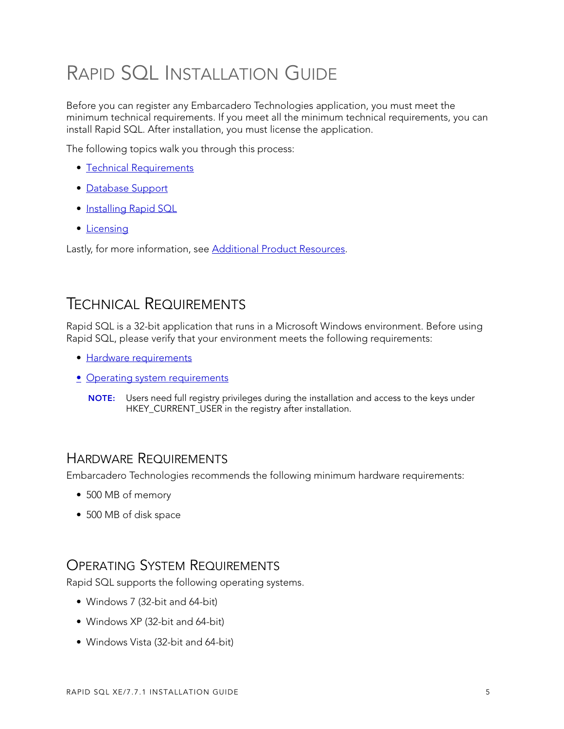# <span id="page-4-0"></span>RAPID SQL INSTALLATION GUIDE

Before you can register any Embarcadero Technologies application, you must meet the minimum technical requirements. If you meet all the minimum technical requirements, you can install Rapid SQL. After installation, you must license the application.

The following topics walk you through this process:

- [Technical Requirements](#page-4-1)
- [Database Support](#page-6-0)
- [Installing Rapid SQL](#page-7-0)
- [Licensing](#page-8-0)

Lastly, for more information, see [Additional Product Resources.](#page-13-0)

# <span id="page-4-1"></span>TECHNICAL REQUIREMENTS

Rapid SQL is a 32-bit application that runs in a Microsoft Windows environment. Before using Rapid SQL, please verify that your environment meets the following requirements:

- [Hardware requirements](#page-4-2)
- [Operating system requirements](#page-4-3)
	- NOTE: Users need full registry privileges during the installation and access to the keys under HKEY\_CURRENT\_USER in the registry after installation.

## <span id="page-4-2"></span>HARDWARE REQUIREMENTS

Embarcadero Technologies recommends the following minimum hardware requirements:

- 500 MB of memory
- 500 MB of disk space

## <span id="page-4-3"></span>OPERATING SYSTEM REQUIREMENTS

Rapid SQL supports the following operating systems.

- Windows 7 (32-bit and 64-bit)
- Windows XP (32-bit and 64-bit)
- Windows Vista (32-bit and 64-bit)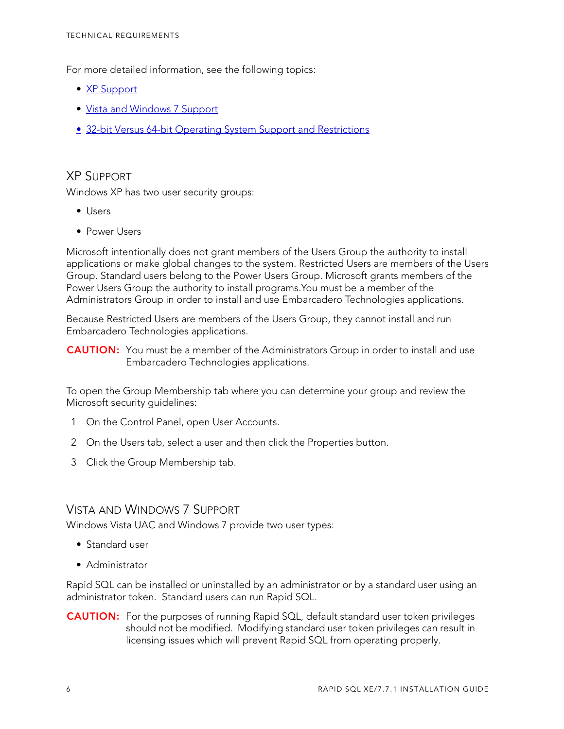For more detailed information, see the following topics:

- [XP Support](#page-5-0)
- [Vista and Windows 7 Support](#page-5-1)
- [32-bit Versus 64-bit Operating System Support and Restrictions](#page-6-2)

### <span id="page-5-0"></span>XP SUPPORT

Windows XP has two user security groups:

- Users
- Power Users

Microsoft intentionally does not grant members of the Users Group the authority to install applications or make global changes to the system. Restricted Users are members of the Users Group. Standard users belong to the Power Users Group. Microsoft grants members of the Power Users Group the authority to install programs.You must be a member of the Administrators Group in order to install and use Embarcadero Technologies applications.

Because Restricted Users are members of the Users Group, they cannot install and run Embarcadero Technologies applications.

**CAUTION:** You must be a member of the Administrators Group in order to install and use Embarcadero Technologies applications.

To open the Group Membership tab where you can determine your group and review the Microsoft security guidelines:

- 1 On the Control Panel, open User Accounts.
- 2 On the Users tab, select a user and then click the Properties button.
- 3 Click the Group Membership tab.

#### <span id="page-5-1"></span>VISTA AND WINDOWS 7 SUPPORT

Windows Vista UAC and Windows 7 provide two user types:

- Standard user
- Administrator

Rapid SQL can be installed or uninstalled by an administrator or by a standard user using an administrator token. Standard users can run Rapid SQL.

CAUTION: For the purposes of running Rapid SQL, default standard user token privileges should not be modified. Modifying standard user token privileges can result in licensing issues which will prevent Rapid SQL from operating properly.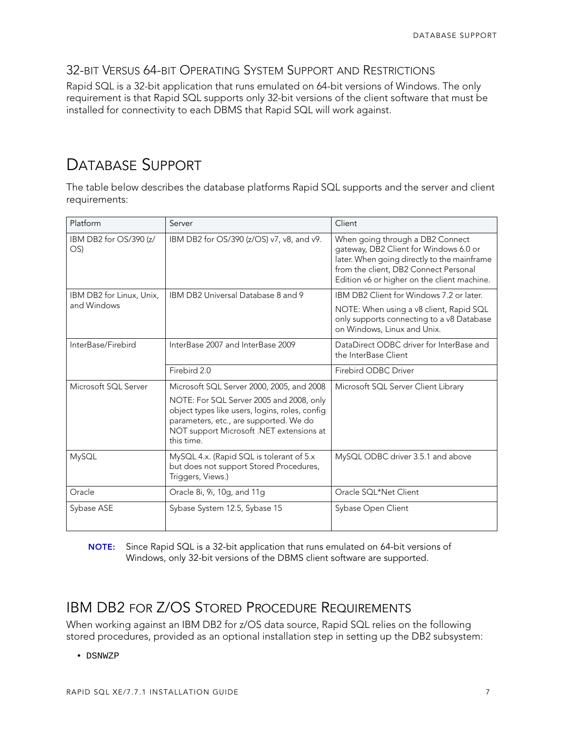## <span id="page-6-2"></span>32-BIT VERSUS 64-BIT OPERATING SYSTEM SUPPORT AND RESTRICTIONS

Rapid SQL is a 32-bit application that runs emulated on 64-bit versions of Windows. The only requirement is that Rapid SQL supports only 32-bit versions of the client software that must be installed for connectivity to each DBMS that Rapid SQL will work against.

# <span id="page-6-0"></span>DATABASE SUPPORT

The table below describes the database platforms Rapid SQL supports and the server and client requirements:

| Platform                                | Server                                                                                                                                                                                         | Client                                                                                                                                                                                                            |
|-----------------------------------------|------------------------------------------------------------------------------------------------------------------------------------------------------------------------------------------------|-------------------------------------------------------------------------------------------------------------------------------------------------------------------------------------------------------------------|
| IBM DB2 for OS/390 (z/<br>OS)           | IBM DB2 for OS/390 (z/OS) v7, v8, and v9.                                                                                                                                                      | When going through a DB2 Connect<br>gateway, DB2 Client for Windows 6.0 or<br>later. When going directly to the mainframe<br>from the client, DB2 Connect Personal<br>Edition v6 or higher on the client machine. |
| IBM DB2 for Linux, Unix,<br>and Windows | IBM DB2 Universal Database 8 and 9                                                                                                                                                             | IBM DB2 Client for Windows 7.2 or later.                                                                                                                                                                          |
|                                         |                                                                                                                                                                                                | NOTE: When using a v8 client, Rapid SQL<br>only supports connecting to a v8 Database<br>on Windows, Linux and Unix.                                                                                               |
| InterBase/Firebird                      | InterBase 2007 and InterBase 2009                                                                                                                                                              | DataDirect ODBC driver for InterBase and<br>the InterBase Client                                                                                                                                                  |
|                                         | Firebird 2.0                                                                                                                                                                                   | Firebird ODBC Driver                                                                                                                                                                                              |
| Microsoft SQL Server                    | Microsoft SQL Server 2000, 2005, and 2008                                                                                                                                                      | Microsoft SQL Server Client Library                                                                                                                                                                               |
|                                         | NOTE: For SQL Server 2005 and 2008, only<br>object types like users, logins, roles, config<br>parameters, etc., are supported. We do<br>NOT support Microsoft .NET extensions at<br>this time. |                                                                                                                                                                                                                   |
| MySQL                                   | MySQL 4.x. (Rapid SQL is tolerant of 5.x<br>but does not support Stored Procedures,<br>Triggers, Views.)                                                                                       | MySQL ODBC driver 3.5.1 and above                                                                                                                                                                                 |
| Oracle                                  | Oracle 8i, 9i, 10g, and 11g                                                                                                                                                                    | Oracle SQL*Net Client                                                                                                                                                                                             |
| Sybase ASE                              | Sybase System 12.5, Sybase 15                                                                                                                                                                  | Sybase Open Client                                                                                                                                                                                                |

NOTE: Since Rapid SQL is a 32-bit application that runs emulated on 64-bit versions of Windows, only 32-bit versions of the DBMS client software are supported.

## <span id="page-6-1"></span>IBM DB2 FOR Z/OS STORED PROCEDURE REQUIREMENTS

When working against an IBM DB2 for z/OS data source, Rapid SQL relies on the following stored procedures, provided as an optional installation step in setting up the DB2 subsystem:

• DSNWZP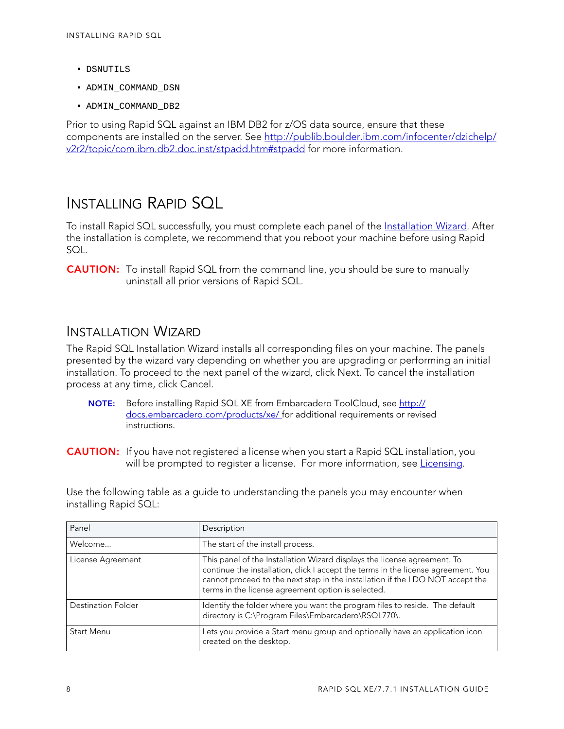- DSNUTILS
- ADMIN\_COMMAND\_DSN
- ADMIN\_COMMAND\_DB2

Prior to using Rapid SQL against an IBM DB2 for z/OS data source, ensure that these components are installed on the server. See [http://publib.boulder.ibm.com/infocenter/dzichelp/](http://publib.boulder.ibm.com/infocenter/dzichelp/v2r2/index.jsp?topic=/com.ibm.db2.doc.inst/stpadd.htm) [v2r2/topic/com.ibm.db2.doc.inst/stpadd.htm#stpadd](http://publib.boulder.ibm.com/infocenter/dzichelp/v2r2/index.jsp?topic=/com.ibm.db2.doc.inst/stpadd.htm) for more information.

## <span id="page-7-0"></span>INSTALLING RAPID SQL

To install Rapid SQL successfully, you must complete each panel of the [Installation Wizard.](#page-7-1) After the installation is complete, we recommend that you reboot your machine before using Rapid SQL.

CAUTION: To install Rapid SQL from the command line, you should be sure to manually uninstall all prior versions of Rapid SQL.

## <span id="page-7-1"></span>INSTALLATION WIZARD

The Rapid SQL Installation Wizard installs all corresponding files on your machine. The panels presented by the wizard vary depending on whether you are upgrading or performing an initial installation. To proceed to the next panel of the wizard, click Next. To cancel the installation process at any time, click Cancel.

- NOTE: Before installing Rapid SQL XE from Embarcadero ToolCloud, see [http://](http://docs.embarcadero.com/products/xe/) [docs.embarcadero.com/products/xe/](http://docs.embarcadero.com/products/xe/) for additional requirements or revised instructions.
- CAUTION: If you have not registered a license when you start a Rapid SQL installation, you will be prompted to register a license. For more information, see *Licensing*.

Use the following table as a guide to understanding the panels you may encounter when installing Rapid SQL:

| Panel              | Description                                                                                                                                                                                                                                                                                           |
|--------------------|-------------------------------------------------------------------------------------------------------------------------------------------------------------------------------------------------------------------------------------------------------------------------------------------------------|
| Welcome            | The start of the install process.                                                                                                                                                                                                                                                                     |
| License Agreement  | This panel of the Installation Wizard displays the license agreement. To<br>continue the installation, click I accept the terms in the license agreement. You<br>cannot proceed to the next step in the installation if the I DO NOT accept the<br>terms in the license agreement option is selected. |
| Destination Folder | Identify the folder where you want the program files to reside. The default<br>directory is C:\Program Files\Embarcadero\RSQL770\.                                                                                                                                                                    |
| <b>Start Menu</b>  | Lets you provide a Start menu group and optionally have an application icon<br>created on the desktop.                                                                                                                                                                                                |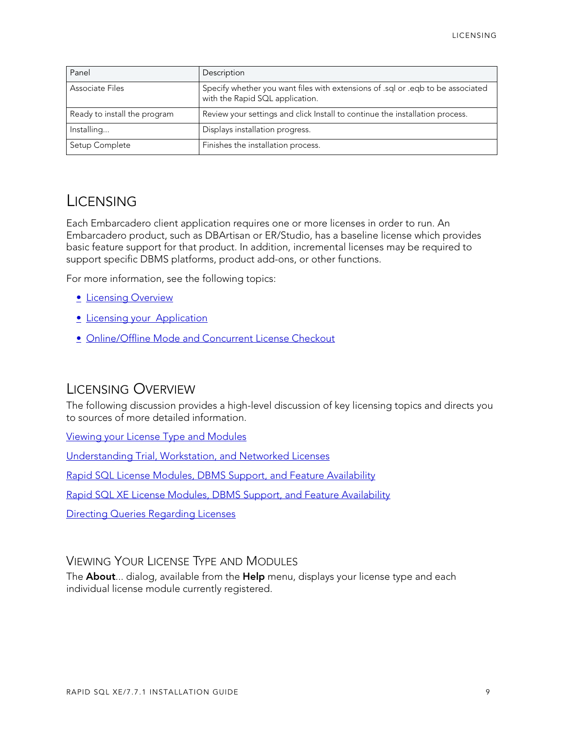| Panel                        | Description                                                                                                        |
|------------------------------|--------------------------------------------------------------------------------------------------------------------|
| Associate Files              | Specify whether you want files with extensions of .sql or .eqb to be associated<br>with the Rapid SQL application. |
| Ready to install the program | Review your settings and click Install to continue the installation process.                                       |
| Installing                   | Displays installation progress.                                                                                    |
| Setup Complete               | Finishes the installation process.                                                                                 |

## <span id="page-8-0"></span>LICENSING

Each Embarcadero client application requires one or more licenses in order to run. An Embarcadero product, such as DBArtisan or ER/Studio, has a baseline license which provides basic feature support for that product. In addition, incremental licenses may be required to support specific DBMS platforms, product add-ons, or other functions.

For more information, see the following topics:

- **[Licensing Overview](#page-8-1)**
- [Licensing your Application](#page-10-0)
- [Online/Offline Mode and Concurrent License Checkout](#page-12-0)

## <span id="page-8-1"></span>LICENSING OVERVIEW

The following discussion provides a high-level discussion of key licensing topics and directs you to sources of more detailed information.

[Viewing your License Type and Modules](#page-8-2)

[Understanding Trial, Workstation, and Networked Licenses](#page-9-0)

[Rapid SQL License Modules, DBMS Support, and Feature Availability](#page-9-1)

[Rapid SQL XE License Modules, DBMS Support, and Feature Availability](#page-9-2)

[Directing Queries Regarding Licenses](#page-9-3)

## <span id="page-8-2"></span>VIEWING YOUR LICENSE TYPE AND MODULES

The **About**... dialog, available from the Help menu, displays your license type and each individual license module currently registered.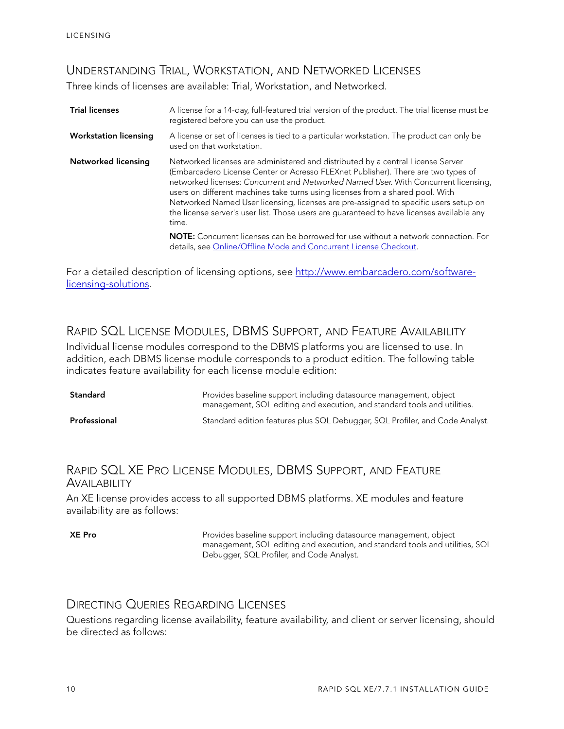## <span id="page-9-0"></span>UNDERSTANDING TRIAL, WORKSTATION, AND NETWORKED LICENSES

Three kinds of licenses are available: Trial, Workstation, and Networked.

| <b>Trial licenses</b>        | A license for a 14-day, full-featured trial version of the product. The trial license must be<br>registered before you can use the product.                                                                                                                                                                                                                                                                                                                                                                                                 |
|------------------------------|---------------------------------------------------------------------------------------------------------------------------------------------------------------------------------------------------------------------------------------------------------------------------------------------------------------------------------------------------------------------------------------------------------------------------------------------------------------------------------------------------------------------------------------------|
| <b>Workstation licensing</b> | A license or set of licenses is tied to a particular workstation. The product can only be<br>used on that workstation.                                                                                                                                                                                                                                                                                                                                                                                                                      |
| <b>Networked licensing</b>   | Networked licenses are administered and distributed by a central License Server<br>(Embarcadero License Center or Acresso FLEXnet Publisher). There are two types of<br>networked licenses: Concurrent and Networked Named User. With Concurrent licensing,<br>users on different machines take turns using licenses from a shared pool. With<br>Networked Named User licensing, licenses are pre-assigned to specific users setup on<br>the license server's user list. Those users are guaranteed to have licenses available any<br>time. |
|                              | <b>NOTE:</b> Concurrent licenses can be borrowed for use without a network connection. For<br>details, see Online/Offline Mode and Concurrent License Checkout.                                                                                                                                                                                                                                                                                                                                                                             |

For a detailed description of licensing options, see [http://www.embarcadero.com/software](http://www.embarcadero.com/software-licensing-solutions)[licensing-solutions](http://www.embarcadero.com/software-licensing-solutions).

## <span id="page-9-1"></span>RAPID SQL LICENSE MODULES, DBMS SUPPORT, AND FEATURE AVAILABILITY

Individual license modules correspond to the DBMS platforms you are licensed to use. In addition, each DBMS license module corresponds to a product edition. The following table indicates feature availability for each license module edition:

| Standard     | Provides baseline support including datasource management, object<br>management, SQL editing and execution, and standard tools and utilities. |
|--------------|-----------------------------------------------------------------------------------------------------------------------------------------------|
| Professional | Standard edition features plus SQL Debugger, SQL Profiler, and Code Analyst.                                                                  |

## <span id="page-9-2"></span>RAPID SQL XE PRO LICENSE MODULES, DBMS SUPPORT, AND FEATURE AVAILABILITY

An XE license provides access to all supported DBMS platforms. XE modules and feature availability are as follows:

**XE Pro** Provides baseline support including datasource management, object management, SQL editing and execution, and standard tools and utilities, SQL Debugger, SQL Profiler, and Code Analyst.

#### <span id="page-9-3"></span>DIRECTING QUERIES REGARDING LICENSES

Questions regarding license availability, feature availability, and client or server licensing, should be directed as follows: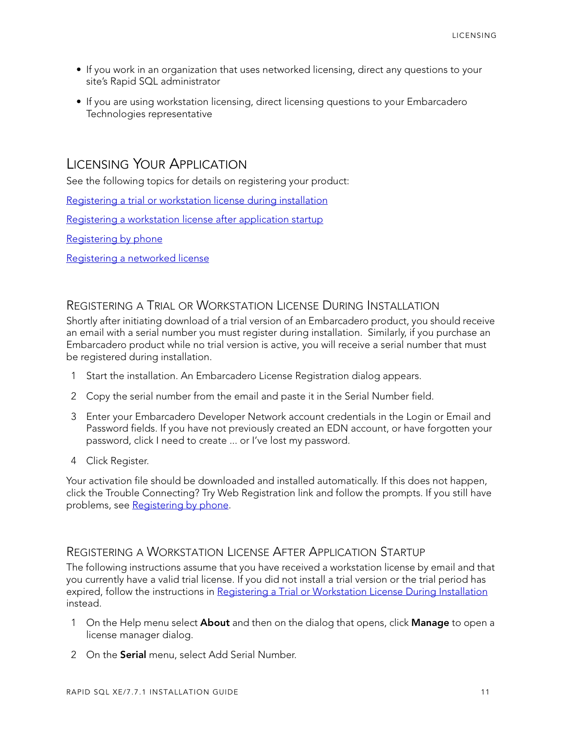- If you work in an organization that uses networked licensing, direct any questions to your site's Rapid SQL administrator
- If you are using workstation licensing, direct licensing questions to your Embarcadero Technologies representative

## <span id="page-10-0"></span>LICENSING YOUR APPLICATION

See the following topics for details on registering your product:

[Registering a trial or workstation license during installation](#page-10-1)

[Registering a workstation license after application startup](#page-10-2)

[Registering by phone](#page-11-0)

[Registering a networked license](#page-12-1)

## <span id="page-10-1"></span>REGISTERING A TRIAL OR WORKSTATION LICENSE DURING INSTALLATION

Shortly after initiating download of a trial version of an Embarcadero product, you should receive an email with a serial number you must register during installation. Similarly, if you purchase an Embarcadero product while no trial version is active, you will receive a serial number that must be registered during installation.

- 1 Start the installation. An Embarcadero License Registration dialog appears.
- 2 Copy the serial number from the email and paste it in the Serial Number field.
- 3 Enter your Embarcadero Developer Network account credentials in the Login or Email and Password fields. If you have not previously created an EDN account, or have forgotten your password, click I need to create ... or I've lost my password.
- 4 Click Register.

Your activation file should be downloaded and installed automatically. If this does not happen, click the Trouble Connecting? Try Web Registration link and follow the prompts. If you still have problems, see [Registering by phone](#page-11-0).

## <span id="page-10-2"></span>REGISTERING A WORKSTATION LICENSE AFTER APPLICATION STARTUP

The following instructions assume that you have received a workstation license by email and that you currently have a valid trial license. If you did not install a trial version or the trial period has expired, follow the instructions in [Registering a Trial or Workstation License During Installation](#page-10-1) instead.

- 1 On the Help menu select **About** and then on the dialog that opens, click Manage to open a license manager dialog.
- 2 On the **Serial** menu, select Add Serial Number.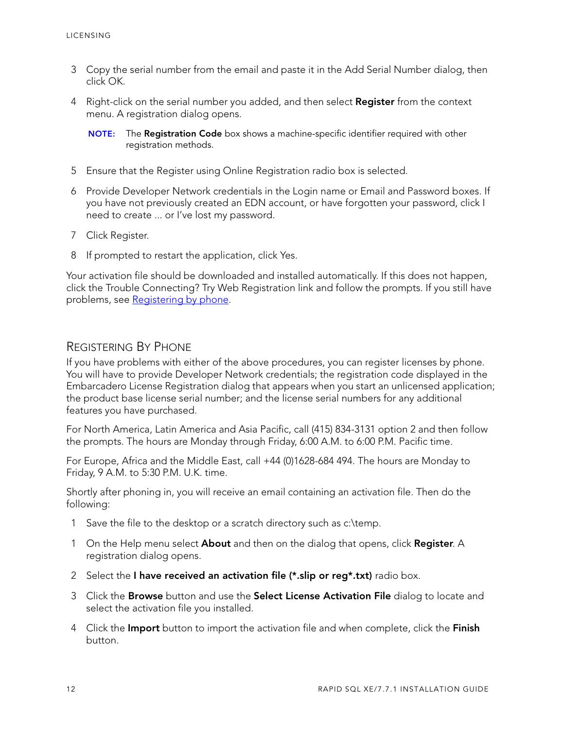- 3 Copy the serial number from the email and paste it in the Add Serial Number dialog, then click OK.
- 4 Right-click on the serial number you added, and then select Register from the context menu. A registration dialog opens.

NOTE: The Registration Code box shows a machine-specific identifier required with other registration methods.

- 5 Ensure that the Register using Online Registration radio box is selected.
- 6 Provide Developer Network credentials in the Login name or Email and Password boxes. If you have not previously created an EDN account, or have forgotten your password, click I need to create ... or I've lost my password.
- 7 Click Register.
- 8 If prompted to restart the application, click Yes.

Your activation file should be downloaded and installed automatically. If this does not happen, click the Trouble Connecting? Try Web Registration link and follow the prompts. If you still have problems, see [Registering by phone](#page-11-0).

#### <span id="page-11-0"></span>REGISTERING BY PHONE

If you have problems with either of the above procedures, you can register licenses by phone. You will have to provide Developer Network credentials; the registration code displayed in the Embarcadero License Registration dialog that appears when you start an unlicensed application; the product base license serial number; and the license serial numbers for any additional features you have purchased.

For North America, Latin America and Asia Pacific, call (415) 834-3131 option 2 and then follow the prompts. The hours are Monday through Friday, 6:00 A.M. to 6:00 P.M. Pacific time.

For Europe, Africa and the Middle East, call +44 (0)1628-684 494. The hours are Monday to Friday, 9 A.M. to 5:30 P.M. U.K. time.

Shortly after phoning in, you will receive an email containing an activation file. Then do the following:

- 1 Save the file to the desktop or a scratch directory such as c:\temp.
- 1 On the Help menu select **About** and then on the dialog that opens, click **Register**. A registration dialog opens.
- 2 Select the I have received an activation file  $(*\text{.slip or reg}^*.\text{txt})$  radio box.
- 3 Click the Browse button and use the Select License Activation File dialog to locate and select the activation file you installed.
- 4 Click the **Import** button to import the activation file and when complete, click the Finish button.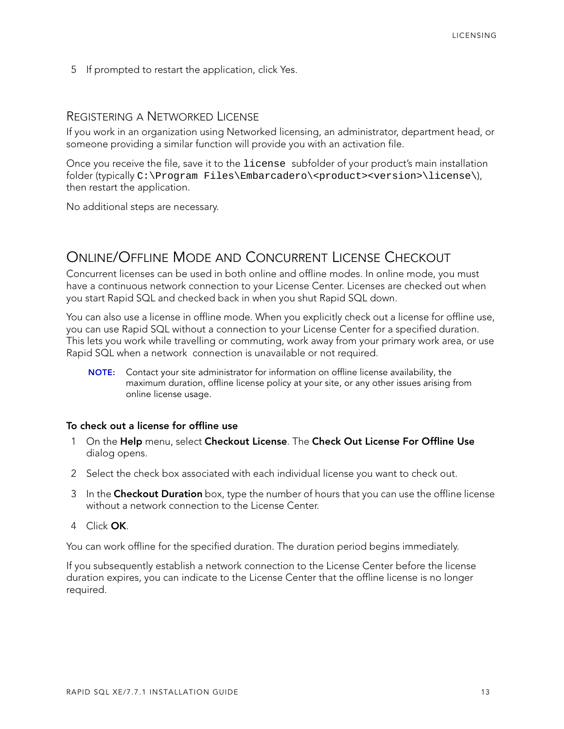5 If prompted to restart the application, click Yes.

### <span id="page-12-1"></span>REGISTERING A NETWORKED LICENSE

If you work in an organization using Networked licensing, an administrator, department head, or someone providing a similar function will provide you with an activation file.

Once you receive the file, save it to the license subfolder of your product's main installation folder (typically C:\Program Files\Embarcadero\<product><version>\license\), then restart the application.

No additional steps are necessary.

## <span id="page-12-0"></span>ONLINE/OFFLINE MODE AND CONCURRENT LICENSE CHECKOUT

Concurrent licenses can be used in both online and offline modes. In online mode, you must have a continuous network connection to your License Center. Licenses are checked out when you start Rapid SQL and checked back in when you shut Rapid SQL down.

You can also use a license in offline mode. When you explicitly check out a license for offline use, you can use Rapid SQL without a connection to your License Center for a specified duration. This lets you work while travelling or commuting, work away from your primary work area, or use Rapid SQL when a network connection is unavailable or not required.

NOTE: Contact your site administrator for information on offline license availability, the maximum duration, offline license policy at your site, or any other issues arising from online license usage.

#### To check out a license for offline use

- 1 On the Help menu, select Checkout License. The Check Out License For Offline Use dialog opens.
- 2 Select the check box associated with each individual license you want to check out.
- 3 In the Checkout Duration box, type the number of hours that you can use the offline license without a network connection to the License Center.
- 4 Click OK.

You can work offline for the specified duration. The duration period begins immediately.

If you subsequently establish a network connection to the License Center before the license duration expires, you can indicate to the License Center that the offline license is no longer required.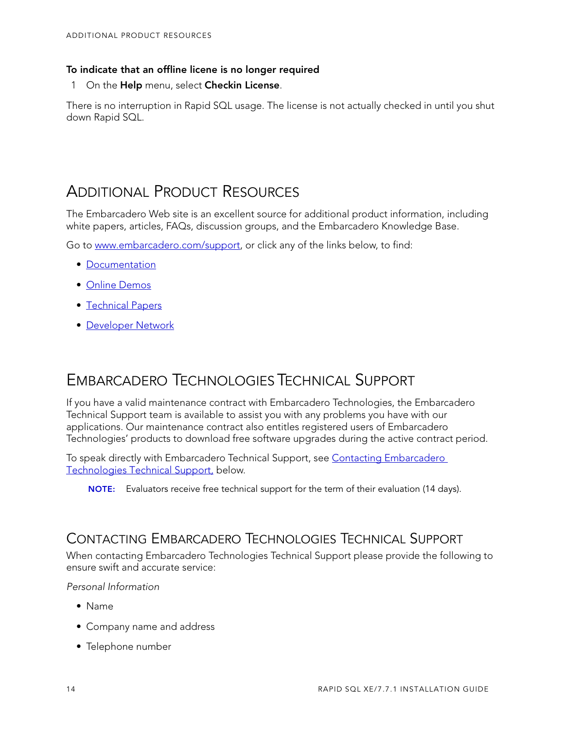#### To indicate that an offline licene is no longer required

1 On the Help menu, select Checkin License.

There is no interruption in Rapid SQL usage. The license is not actually checked in until you shut down Rapid SQL.

# <span id="page-13-0"></span>ADDITIONAL PRODUCT RESOURCES

The Embarcadero Web site is an excellent source for additional product information, including white papers, articles, FAQs, discussion groups, and the Embarcadero Knowledge Base.

Go to [www.embarcadero.com/support,](http://www.embarcadero.com/support/) or click any of the links below, to find:

- [Documentation](http://docs.embarcadero.com)
- [Online Demos](http://www.embarcadero.com/resources/demos)
- [Technical Papers](http://www.embarcadero.com/resources/technical-papers)
- [Developer Network](http://edn.embarcadero.com)

# <span id="page-13-1"></span>**EMBARCADERO TECHNOLOGIES TECHNICAL SUPPORT**

If you have a valid maintenance contract with Embarcadero Technologies, the Embarcadero Technical Support team is available to assist you with any problems you have with our applications. Our maintenance contract also entitles registered users of Embarcadero Technologies' products to download free software upgrades during the active contract period.

To speak directly with Embarcadero Technical Support, see Contacting Embarcadero [Technologies Technical Support,](#page-13-2) below.

NOTE: Evaluators receive free technical support for the term of their evaluation (14 days).

## <span id="page-13-2"></span>CONTACTING EMBARCADERO TECHNOLOGIES TECHNICAL SUPPORT

When contacting Embarcadero Technologies Technical Support please provide the following to ensure swift and accurate service:

#### Personal Information

- Name
- Company name and address
- Telephone number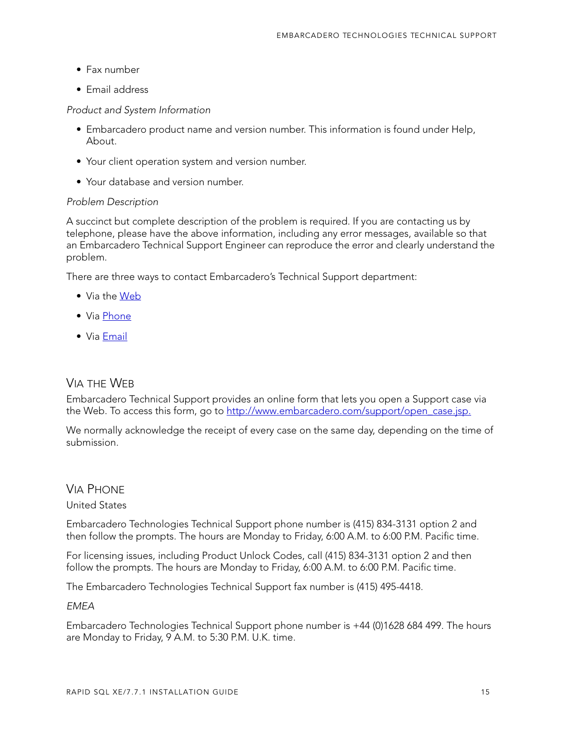- Fax number
- Email address

Product and System Information

- Embarcadero product name and version number. This information is found under Help, About.
- Your client operation system and version number.
- Your database and version number.

#### Problem Description

A succinct but complete description of the problem is required. If you are contacting us by telephone, please have the above information, including any error messages, available so that an Embarcadero Technical Support Engineer can reproduce the error and clearly understand the problem.

There are three ways to contact Embarcadero's Technical Support department:

- Via the [Web](#page-14-0)
- Via [Phone](#page-14-1)
- Via [Email](#page-15-0)

## <span id="page-14-0"></span>VIA THE WEB

Embarcadero Technical Support provides an online form that lets you open a Support case via the Web. To access this form, go to [http://www.embarcadero.com/support/open\\_case.jsp.](http://www.embarcadero.com/support/open_case.jsp)

We normally acknowledge the receipt of every case on the same day, depending on the time of submission.

## <span id="page-14-1"></span>VIA PHONE

United States

Embarcadero Technologies Technical Support phone number is (415) 834-3131 option 2 and then follow the prompts. The hours are Monday to Friday, 6:00 A.M. to 6:00 P.M. Pacific time.

For licensing issues, including Product Unlock Codes, call (415) 834-3131 option 2 and then follow the prompts. The hours are Monday to Friday, 6:00 A.M. to 6:00 P.M. Pacific time.

The Embarcadero Technologies Technical Support fax number is (415) 495-4418.

**FMFA** 

Embarcadero Technologies Technical Support phone number is +44 (0)1628 684 499. The hours are Monday to Friday, 9 A.M. to 5:30 P.M. U.K. time.